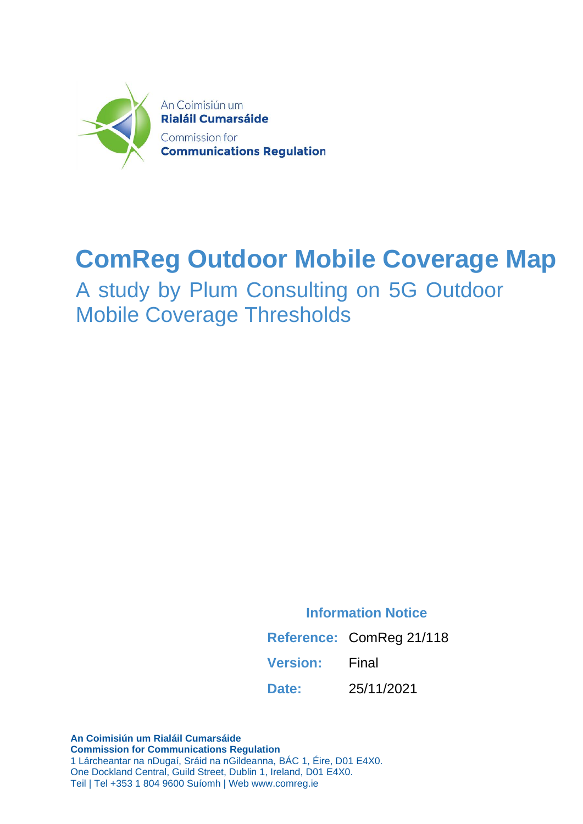

### **ComReg Outdoor Mobile Coverage Map**

A study by Plum Consulting on 5G Outdoor Mobile Coverage Thresholds

**Information Notice**

**Reference:** ComReg 21/118

**Version:** Final

**Date:** 25/11/2021

**An Coimisiún um Rialáil Cumarsáide Commission for Communications Regulation** 1 Lárcheantar na nDugaí, Sráid na nGildeanna, BÁC 1, Éire, D01 E4X0. One Dockland Central, Guild Street, Dublin 1, Ireland, D01 E4X0. Teil | Tel +353 1 804 9600 Suíomh | Web www.comreg.ie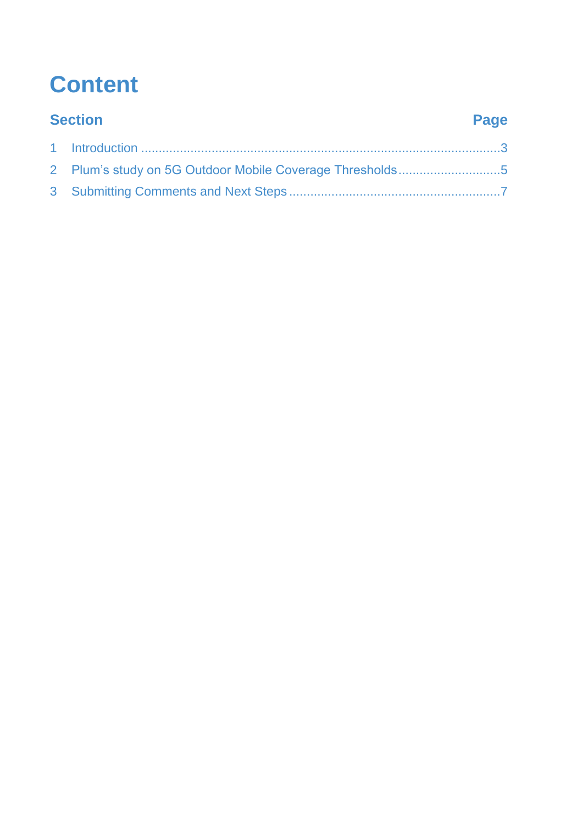# **Content**

| <b>Section</b> |                                                          | Page |
|----------------|----------------------------------------------------------|------|
|                |                                                          |      |
|                | 2 Plum's study on 5G Outdoor Mobile Coverage Thresholds5 |      |
|                |                                                          |      |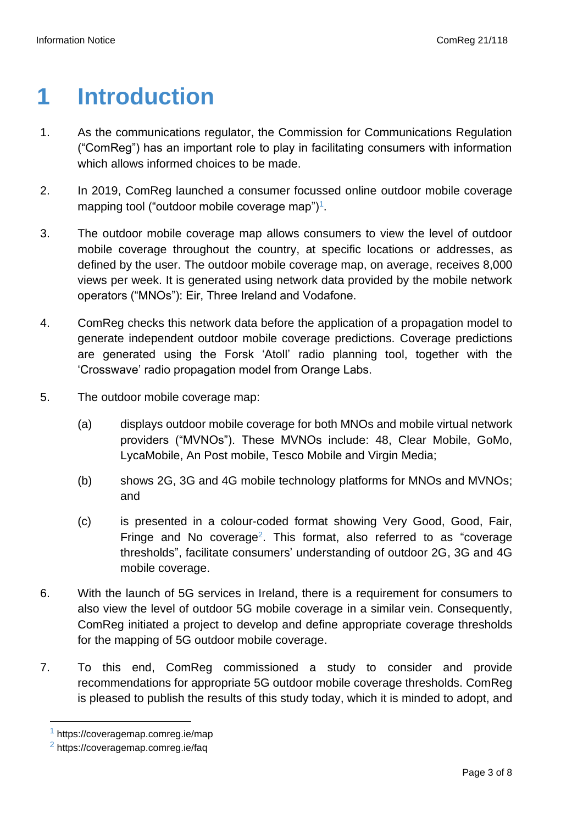### <span id="page-2-0"></span>**1 Introduction**

- 1. As the communications regulator, the Commission for Communications Regulation ("ComReg") has an important role to play in facilitating consumers with information which allows informed choices to be made.
- 2. In 2019, ComReg launched a consumer focussed online outdoor mobile coverage mapping tool ("outdoor mobile coverage map")<sup>1</sup>.
- 3. The outdoor mobile coverage map allows consumers to view the level of outdoor mobile coverage throughout the country, at specific locations or addresses, as defined by the user. The outdoor mobile coverage map, on average, receives 8,000 views per week. It is generated using network data provided by the mobile network operators ("MNOs"): Eir, Three Ireland and Vodafone.
- 4. ComReg checks this network data before the application of a propagation model to generate independent outdoor mobile coverage predictions. Coverage predictions are generated using the Forsk 'Atoll' radio planning tool, together with the 'Crosswave' radio propagation model from Orange Labs.
- 5. The outdoor mobile coverage map:
	- (a) displays outdoor mobile coverage for both MNOs and mobile virtual network providers ("MVNOs"). These MVNOs include: 48, Clear Mobile, GoMo, LycaMobile, An Post mobile, Tesco Mobile and Virgin Media;
	- (b) shows 2G, 3G and 4G mobile technology platforms for MNOs and MVNOs; and
	- (c) is presented in a colour-coded format showing Very Good, Good, Fair, Fringe and No coverage<sup>2</sup>. This format, also referred to as "coverage thresholds", facilitate consumers' understanding of outdoor 2G, 3G and 4G mobile coverage.
- 6. With the launch of 5G services in Ireland, there is a requirement for consumers to also view the level of outdoor 5G mobile coverage in a similar vein. Consequently, ComReg initiated a project to develop and define appropriate coverage thresholds for the mapping of 5G outdoor mobile coverage.
- 7. To this end, ComReg commissioned a study to consider and provide recommendations for appropriate 5G outdoor mobile coverage thresholds. ComReg is pleased to publish the results of this study today, which it is minded to adopt, and

<sup>1</sup> https://coveragemap.comreg.ie/map

<sup>2</sup> https://coveragemap.comreg.ie/faq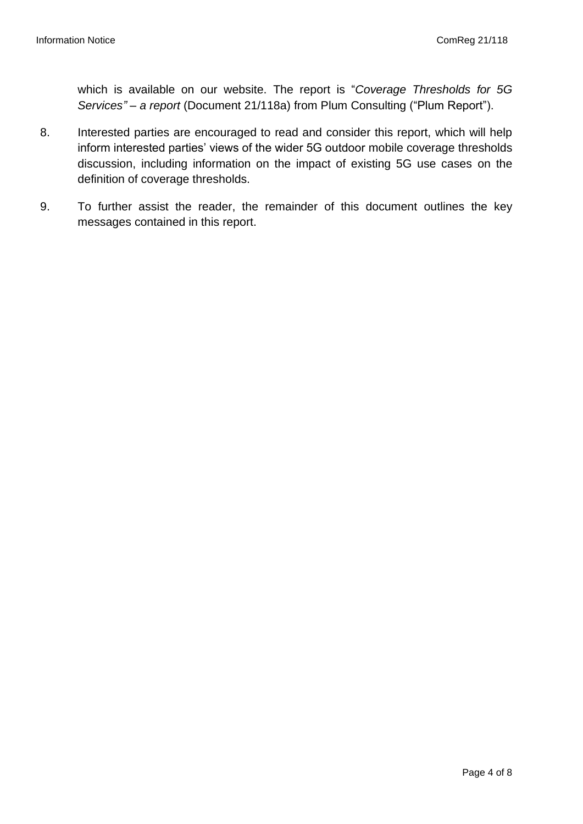which is available on our website. The report is "*Coverage Thresholds for 5G Services" – a report* (Document 21/118a) from Plum Consulting ("Plum Report").

- 8. Interested parties are encouraged to read and consider this report, which will help inform interested parties' views of the wider 5G outdoor mobile coverage thresholds discussion, including information on the impact of existing 5G use cases on the definition of coverage thresholds.
- 9. To further assist the reader, the remainder of this document outlines the key messages contained in this report.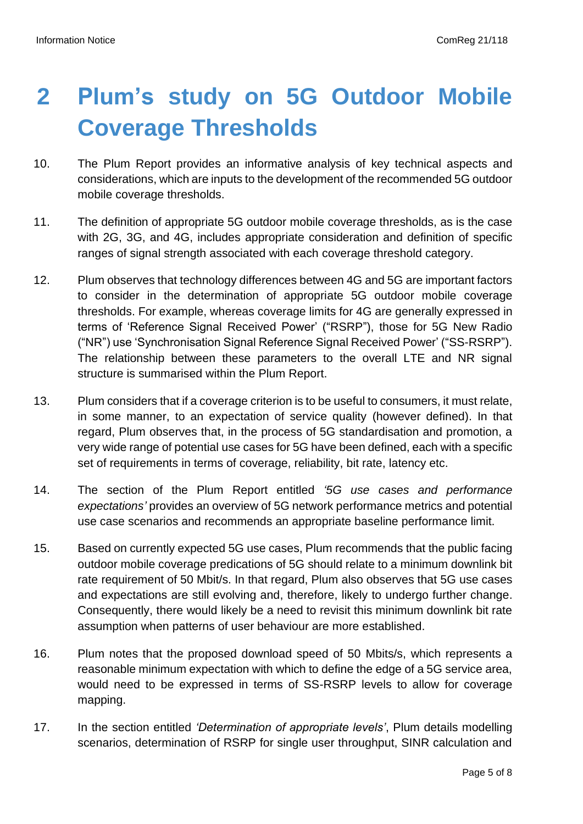# <span id="page-4-0"></span>**2 Plum's study on 5G Outdoor Mobile Coverage Thresholds**

- 10. The Plum Report provides an informative analysis of key technical aspects and considerations, which are inputs to the development of the recommended 5G outdoor mobile coverage thresholds.
- 11. The definition of appropriate 5G outdoor mobile coverage thresholds, as is the case with 2G, 3G, and 4G, includes appropriate consideration and definition of specific ranges of signal strength associated with each coverage threshold category.
- 12. Plum observes that technology differences between 4G and 5G are important factors to consider in the determination of appropriate 5G outdoor mobile coverage thresholds. For example, whereas coverage limits for 4G are generally expressed in terms of 'Reference Signal Received Power' ("RSRP"), those for 5G New Radio ("NR") use 'Synchronisation Signal Reference Signal Received Power' ("SS-RSRP"). The relationship between these parameters to the overall LTE and NR signal structure is summarised within the Plum Report.
- 13. Plum considers that if a coverage criterion is to be useful to consumers, it must relate, in some manner, to an expectation of service quality (however defined). In that regard, Plum observes that, in the process of 5G standardisation and promotion, a very wide range of potential use cases for 5G have been defined, each with a specific set of requirements in terms of coverage, reliability, bit rate, latency etc.
- 14. The section of the Plum Report entitled *'5G use cases and performance expectations'* provides an overview of 5G network performance metrics and potential use case scenarios and recommends an appropriate baseline performance limit.
- 15. Based on currently expected 5G use cases, Plum recommends that the public facing outdoor mobile coverage predications of 5G should relate to a minimum downlink bit rate requirement of 50 Mbit/s. In that regard, Plum also observes that 5G use cases and expectations are still evolving and, therefore, likely to undergo further change. Consequently, there would likely be a need to revisit this minimum downlink bit rate assumption when patterns of user behaviour are more established.
- 16. Plum notes that the proposed download speed of 50 Mbits/s, which represents a reasonable minimum expectation with which to define the edge of a 5G service area, would need to be expressed in terms of SS-RSRP levels to allow for coverage mapping.
- 17. In the section entitled *'Determination of appropriate levels'*, Plum details modelling scenarios, determination of RSRP for single user throughput, SINR calculation and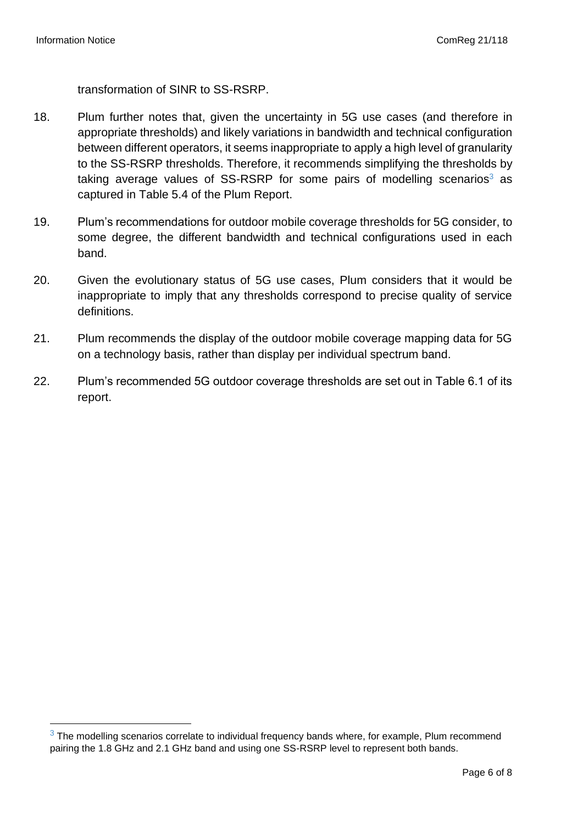transformation of SINR to SS-RSRP.

- 18. Plum further notes that, given the uncertainty in 5G use cases (and therefore in appropriate thresholds) and likely variations in bandwidth and technical configuration between different operators, it seems inappropriate to apply a high level of granularity to the SS-RSRP thresholds. Therefore, it recommends simplifying the thresholds by taking average values of  $SS-RSRP$  for some pairs of modelling scenarios<sup>3</sup> as captured in Table 5.4 of the Plum Report.
- 19. Plum's recommendations for outdoor mobile coverage thresholds for 5G consider, to some degree, the different bandwidth and technical configurations used in each band.
- 20. Given the evolutionary status of 5G use cases, Plum considers that it would be inappropriate to imply that any thresholds correspond to precise quality of service definitions.
- 21. Plum recommends the display of the outdoor mobile coverage mapping data for 5G on a technology basis, rather than display per individual spectrum band.
- 22. Plum's recommended 5G outdoor coverage thresholds are set out in Table 6.1 of its report.

 $3$  The modelling scenarios correlate to individual frequency bands where, for example, Plum recommend pairing the 1.8 GHz and 2.1 GHz band and using one SS-RSRP level to represent both bands.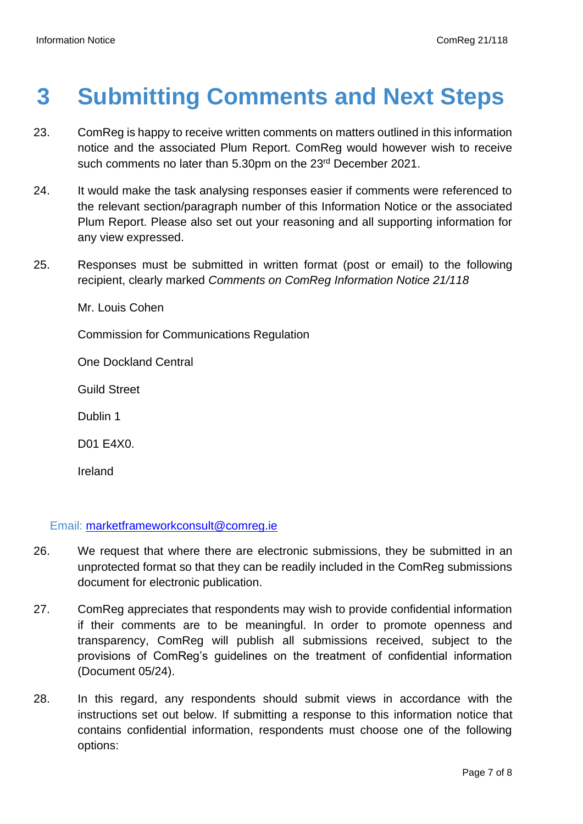### <span id="page-6-0"></span>**3 Submitting Comments and Next Steps**

- 23. ComReg is happy to receive written comments on matters outlined in this information notice and the associated Plum Report. ComReg would however wish to receive such comments no later than 5.30pm on the 23<sup>rd</sup> December 2021.
- 24. It would make the task analysing responses easier if comments were referenced to the relevant section/paragraph number of this Information Notice or the associated Plum Report. Please also set out your reasoning and all supporting information for any view expressed.
- 25. Responses must be submitted in written format (post or email) to the following recipient, clearly marked *Comments on ComReg Information Notice 21/118*

Mr. Louis Cohen

Commission for Communications Regulation

One Dockland Central

Guild Street

Dublin 1

D01 E4X0.

Ireland

Email: [marketframeworkconsult@comreg.ie](mailto:marketframeworkconsult@comreg.ie)

- 26. We request that where there are electronic submissions, they be submitted in an unprotected format so that they can be readily included in the ComReg submissions document for electronic publication.
- 27. ComReg appreciates that respondents may wish to provide confidential information if their comments are to be meaningful. In order to promote openness and transparency, ComReg will publish all submissions received, subject to the provisions of ComReg's guidelines on the treatment of confidential information (Document 05/24).
- 28. In this regard, any respondents should submit views in accordance with the instructions set out below. If submitting a response to this information notice that contains confidential information, respondents must choose one of the following options: